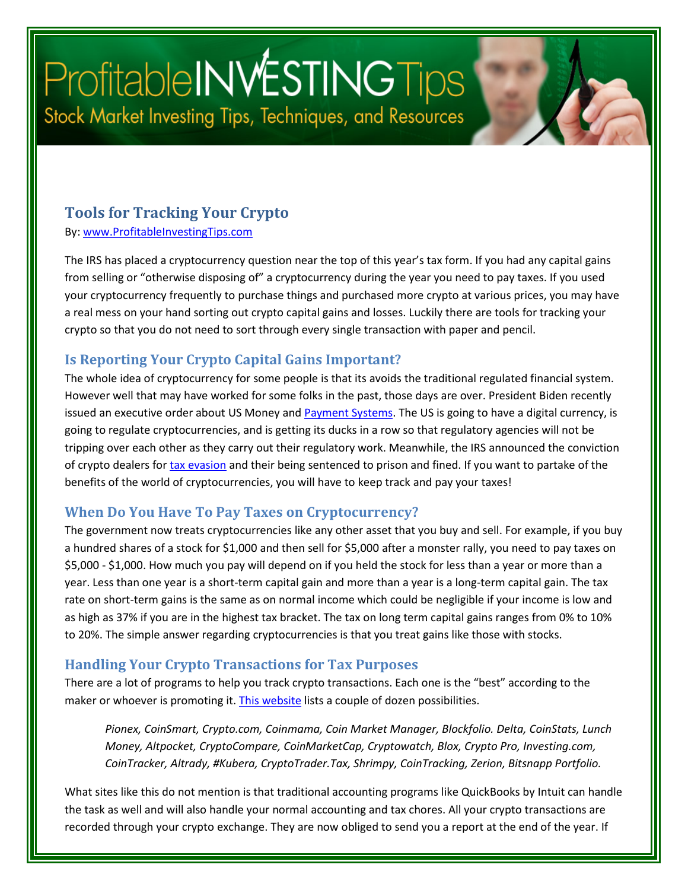# Profitable INVESTING Tips Stock Market Investing Tips, Techniques, and Resources

#### **Tools for Tracking Your Crypto**

By: [www.ProfitableInvestingTips.com](http://www.profitableinvestingtips.com/)

The IRS has placed a cryptocurrency question near the top of this year's tax form. If you had any capital gains from selling or "otherwise disposing of" a cryptocurrency during the year you need to pay taxes. If you used your cryptocurrency frequently to purchase things and purchased more crypto at various prices, you may have a real mess on your hand sorting out crypto capital gains and losses. Luckily there are tools for tracking your crypto so that you do not need to sort through every single transaction with paper and pencil.

#### **Is Reporting Your Crypto Capital Gains Important?**

The whole idea of cryptocurrency for some people is that its avoids the traditional regulated financial system. However well that may have worked for some folks in the past, those days are over. President Biden recently issued an executive order about US Money and [Payment Systems.](https://article.page/Vol401) The US is going to have a digital currency, is going to regulate cryptocurrencies, and is getting its ducks in a row so that regulatory agencies will not be tripping over each other as they carry out their regulatory work. Meanwhile, the IRS announced the conviction of crypto dealers for [tax evasion](https://www.irs.gov/compliance/criminal-investigation/founders-of-crypto-ico-sentenced-to-combined-8-years-in-prison-for-tax-evasion-after-raising-24-million-dollars-from-investors) and their being sentenced to prison and fined. If you want to partake of the benefits of the world of cryptocurrencies, you will have to keep track and pay your taxes!

#### **When Do You Have To Pay Taxes on Cryptocurrency?**

The government now treats cryptocurrencies like any other asset that you buy and sell. For example, if you buy a hundred shares of a stock for \$1,000 and then sell for \$5,000 after a monster rally, you need to pay taxes on \$5,000 - \$1,000. How much you pay will depend on if you held the stock for less than a year or more than a year. Less than one year is a short-term capital gain and more than a year is a long-term capital gain. The tax rate on short-term gains is the same as on normal income which could be negligible if your income is low and as high as 37% if you are in the highest tax bracket. The tax on long term capital gains ranges from 0% to 10% to 20%. The simple answer regarding cryptocurrencies is that you treat gains like those with stocks.

#### **Handling Your Crypto Transactions for Tax Purposes**

There are a lot of programs to help you track crypto transactions. Each one is the "best" according to the maker or whoever is promoting it[. This website](https://www.softwaretestinghelp.com/crypto-portfolio-tracker-apps/) lists a couple of dozen possibilities.

*Pionex, CoinSmart, Crypto.com, Coinmama, Coin Market Manager, Blockfolio. Delta, CoinStats, Lunch Money, Altpocket, CryptoCompare, CoinMarketCap, Cryptowatch, Blox, Crypto Pro, Investing.com, CoinTracker, Altrady, #Kubera, CryptoTrader.Tax, Shrimpy, CoinTracking, Zerion, Bitsnapp Portfolio.*

What sites like this do not mention is that traditional accounting programs like QuickBooks by Intuit can handle the task as well and will also handle your normal accounting and tax chores. All your crypto transactions are recorded through your crypto exchange. They are now obliged to send you a report at the end of the year. If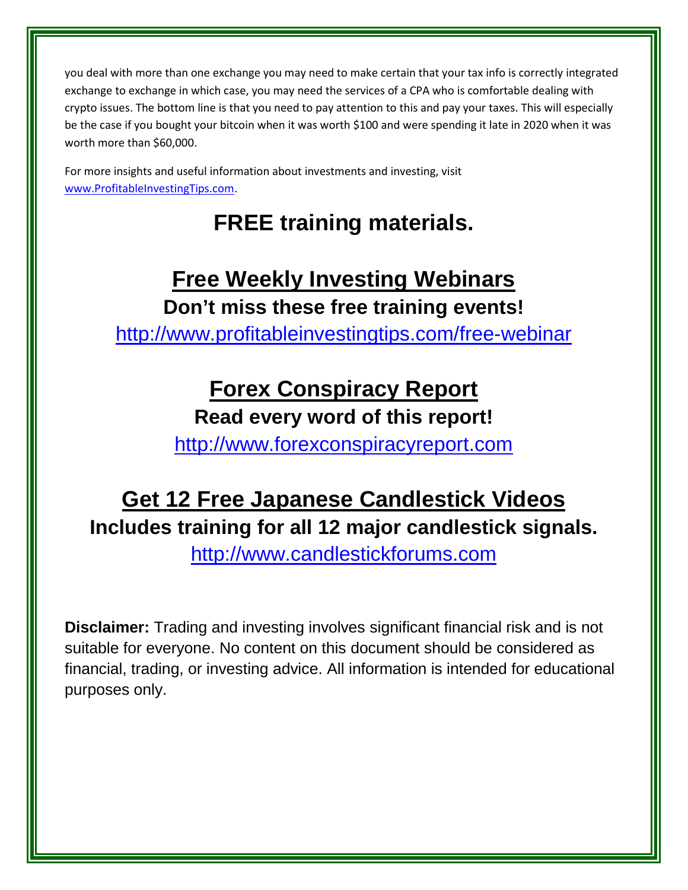you deal with more than one exchange you may need to make certain that your tax info is correctly integrated exchange to exchange in which case, you may need the services of a CPA who is comfortable dealing with crypto issues. The bottom line is that you need to pay attention to this and pay your taxes. This will especially be the case if you bought your bitcoin when it was worth \$100 and were spending it late in 2020 when it was worth more than \$60,000.

For more insights and useful information about investments and investing, visit [www.ProfitableInvestingTips.com.](http://www.profitableinvestingtips.com/)

## **FREE training materials.**

## **Free Weekly Investing Webinars**

**Don't miss these free training events!**

<http://www.profitableinvestingtips.com/free-webinar>

### **Forex Conspiracy Report**

**Read every word of this report!**

[http://www.forexconspiracyreport.com](http://www.forexconspiracyreport.com/)

## **Get 12 Free Japanese Candlestick Videos Includes training for all 12 major candlestick signals.**

[http://www.candlestickforums.com](http://www.candlestickforums.com/)

**Disclaimer:** Trading and investing involves significant financial risk and is not suitable for everyone. No content on this document should be considered as financial, trading, or investing advice. All information is intended for educational purposes only.